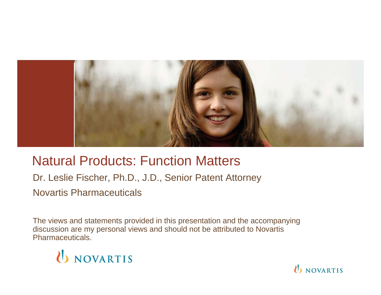

## Natural Products: Function Matters

Dr. Leslie Fischer, Ph.D., J.D., Senior Patent Attorney Novartis Pharmaceuticals

The views and statements provided in this presentation and the accompanying discussion are my personal views and should not be attributed to Novartis Pharmaceuticals.



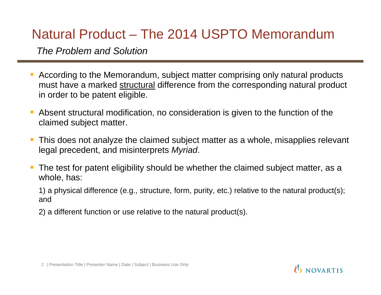# Natural Product – The 2014 USPTO Memorandum

*The Problem and Solution* 

- According to the Memorandum, subject matter comprising only natural products must have a marked structural difference from the corresponding natural product in order to be patent eligible.
- **Service Service**  Absent structural modification, no consideration is given to the function of the claimed subject matter.
- This does not analyze the claimed subject matter as a whole, misapplies relevant legal precedent, and misinterprets *Myriad*.
- The test for patent eligibility should be whether the claimed subject matter, as a whole, has:

1) a physical difference (e.g., structure, form, purity, etc.) relative to the natural product(s); and

2) a different function or use relative to the natural product(s).

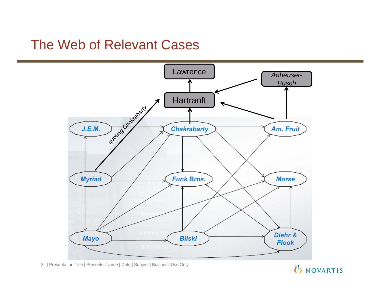## The Web of Relevant Cases



3 | Presentation Title | Presenter Name | Date | Subject | Business Use Only

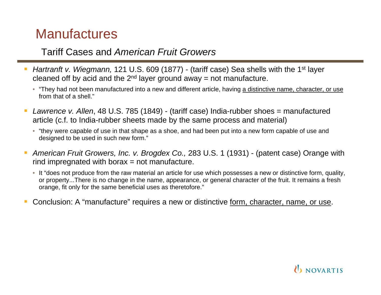# **Manufactures**

#### Tariff Cases and *American Fruit Growers*

- *Hartranft v. Wiegmann,* 121 U.S. 609 (1877) (tariff case) Sea shells with the 1<sup>st</sup> layer cleaned off by acid and the  $2<sup>nd</sup>$  layer ground away = not manufacture.
	- "They had not been manufactured into a new and different article, having a distinctive name, character, or use from that of a shell."
- *Lawrence v. Allen*, 48 U.S. 785 (1849) (tariff case) India-rubber shoes = manufactured article (c.f. to India-rubber sheets made by the same process and material)
	- "they were capable of use in that shape as a shoe, and had been put into a new form capable of use and designed to be used in such new form."
- $\mathcal{L}_{\mathcal{A}}$  *American Fruit Growers, Inc. v. Brogdex Co.,* 283 U.S. 1 (1931) - (patent case) Orange with  $r$  rind impregnated with borax  $r =$  not manufacture.
	- It "does not produce from the raw material an article for use which possesses a new or distinctive form, quality, or property...There is no change in the name, appearance, or general character of the fruit. It remains a fresh orange, fit only for the same beneficial uses as theretofore."
- Conclusion: A "manufacture" requires a new or distinctive form, character, name, or use.

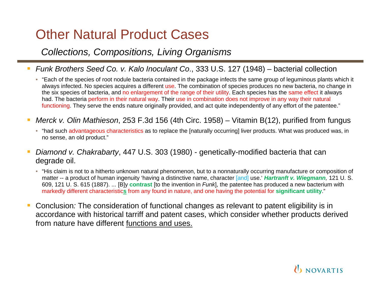# Other Natural Product Cases

#### *Collections, Compositions, Living Organisms*

- *Funk Brothers Seed Co. v. Kalo Inoculant Co*., 333 U.S. 127 (1948) bacterial collection
	- "Each of the species of root nodule bacteria contained in the package infects the same group of leguminous plants which it always infected. No species acquires a different use. The combination of species produces no new bacteria, no change in the six species of bacteria, and no enlargement of the range of their utility. Each species has the same effect it always had. The bacteria perform in their natural way. Their use in combination does not improve in any way their natural functioning. They serve the ends nature originally provided, and act quite independently of any effort of the patentee."
- *Merck v. Olin Mathieson*, 253 F.3d 156 (4th Circ. 1958) Vitamin B(12), purified from fungus
	- "had such advantageous characteristics as to replace the [naturally occurring] liver products. What was produced was, in no sense, an old product."
- *Diamond v. Chakrabarty*, 447 U.S. 303 (1980) genetically-modified bacteria that can degrade oil.
	- "His claim is not to a hitherto unknown natural phenomenon, but to a nonnaturally occurring manufacture or composition of matter -- a product of human ingenuity 'having a distinctive name, character [and] use.' *Hartranft v. Wiegmann,* 121 U. S. 609, 121 U. S. 615 (1887). ... [B]y **contrast** [to the invention in *Funk*], the patentee has produced a new bacterium with markedly different characteristic**s** from any found in nature, and one having the potential for **significant utility**."
- Conclusion*:* The consideration of functional changes as relevant to patent eligibility is in accordance with historical tarriff and patent cases, which consider whether products derived from nature have different functions and uses.

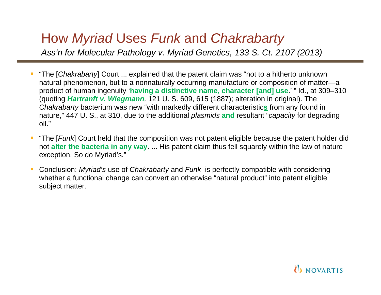# How *Myriad* Uses *Funk* and *Chakrabarty*

*Ass'n for Molecular Pathology v. Myriad Genetics, 133 S. Ct. 2107 (2013)* 

- "The [*Chakrabarty*] Court ... explained that the patent claim was "not to a hitherto unknown natural phenomenon, but to a nonnaturally occurring manufacture or composition of matter—a product of human ingenuity '**having a distinctive name, character [and] use**.' " Id., at 309–310 (quoting *Hartranft v. Wiegmann,* 121 U. S. 609, 615 (1887); alteration in original). The *Chakrabarty* bacterium was new "with markedly different characteristic**s** from any found in nature," 447 U. S., at 310, due to the additional *plasmids* **and** resultant "*capacity* for degrading oil."
- "The [*Funk*] Court held that the composition was not patent eligible because the patent holder did not **alter the bacteria in any way**. ... His patent claim thus fell squarely within the law of nature exception. So do Myriad's."
- Conclusion: *Myriad's* use of *Chakrabarty* and *Funk* is perfectly compatible with considering whether a functional change can convert an otherwise "natural product" into patent eligible subject matter.

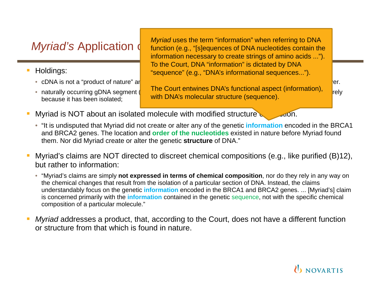- $\mathcal{L}_{\mathcal{A}}$  Holdings:
	- cDNA is not a "product of nature" and is patent eligible under §101. Not is patent eligible from nature. Inquiry over.
	- because it has been isolated;

*Myriad's* Application (*natural acception microducts microdung to DNA* nucleotides contain the *Myriad* uses the term "information" when referring to DNA information necessary to create strings of amino acids ..."). To the Court, DNA "information" is dictated by DNA "sequence" (e.g., "DNA's informational sequences...").

• naturally occurring gDNA segment (gene or short series) is a product of nature and not patent eligible merely The Court entwines DNA's functional aspect (information), with DNA's molecular structure (sequence).

- Myriad is NOT about an isolated molecule with modified structure or function.
	- "It is undisputed that Myriad did not create or alter any of the genetic **information** encoded in the BRCA1 and BRCA2 genes. The location and **order of the nucleotides** existed in nature before Myriad found them. Nor did Myriad create or alter the genetic **structure** of DNA."
- Myriad's claims are NOT directed to discreet chemical compositions (e.g., like purified (B)12), but rather to information:
	- "Myriad's claims are simply **not expressed in terms of chemical composition**, nor do they rely in any way on the chemical changes that result from the isolation of a particular section of DNA. Instead, the claims understandably focus on the genetic **information** encoded in the BRCA1 and BRCA2 genes. ... [Myriad's] claim is concerned primarily with the **information** contained in the genetic sequence, not with the specific chemical composition of a particular molecule."
- *Myriad* addresses a product, that, according to the Court, does not have a different function or structure from that which is found in nature.

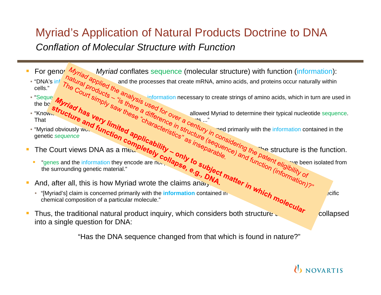### Myriad's Application of Natural Products Doctrine to DNA *Conflation of Molecular Structure with Function*

- For genomic *Myriad* information and the processes that create mRNA, amino acids, and proteins occur naturally within  $\overline{\mathcal{D}}$  $\alpha$   $\alpha$ For genor  $\mathcal{M}_{\mathcal{V}_{\mathcal{U}}^*}$  Myriad conflates sequence (molecular structure) with function (information): • "DNA's cells."
- Sequences  $\frac{q}{r}$  since  $\frac{q}{r}$  sinformation the boundary to be  $\mathscr{V}$  $\frac{d}{d\lambda} \frac{d}{d\lambda} \frac{d}{d\lambda} \frac{d}{d\lambda} \frac{d}{d\lambda} \frac{d}{d\lambda} \frac{d}{d\lambda} \frac{d}{d\lambda} \frac{d}{d\lambda}$ • "Seque  $\mu_{\bullet}$  ,  $\mu_{\bullet}$  ,  $\mu_{\bullet}$  ,  $\mu_{\bullet}$  information necessary to create strings of amino acids, which in turn are used in
- "Know<sub>le</sub>" UCt. "As Lettermine their typical nucleotide allowed Myriad to determine their typical nucleotide  $\mathcal{L}^{\mathcal{A}}$ s ..."  $\mathcal{C}_{\mathcal{F}_{\mathcal{F}_{\mathcal{F}}}$  and  $\mathcal{F}_{\mathcal{G}_{\mathcal{F}_{\mathcal{F}}}^{R}}$  and  $\mathcal{F}_{\mathcal{G}_{\mathcal{F}_{\mathcal{F}}}^{R}}$  and  $\mathcal{F}_{\mathcal{G}_{\mathcal{F}_{\mathcal{F}}}^{R}}$  and  $\mathcal{F}_{\mathcal{G}_{\mathcal{F}_{\mathcal{F}}}^{R}}$  $\frac{d}{d\theta}$  and  $\frac{d}{d\theta}$  is developed to develop medical to develop medical to develop medical to develop medical to develop medical to develop medical to develop medical to develop medical to develop medical to develo • "Know<sub>is</sub> **"Cf<sub>i</sub>, "IS THE SECUTE THAN THE SECUTION** allowed Myriad to determine their typical nucleotide sequence. That
- "Myriad obviously would respect the resist of  $\alpha$  or  $\alpha$  is the resist of  $r_{i_1}$  and primarily with the www.aunction applitudes" structure • information contained in the genetic *sequence*

 $\partial t_{\Theta L}$  and  $\partial \partial a_{\Gamma \Theta L}$  and  $\partial c_{\Theta L}$  and  $\partial t_{\Omega L}$ 

 $\frac{d\mathbf{r}}{dt}$ 

- The Court views DNA as a mealing  $T_{\rm F}$  in  $T_{\rm F}$  is the structure is the function. F
	- they encode are not **riggs** to  $\mathbf{s}_{\mu}$ , they encode are not path they have been isolated from eligible under §101 simply because ۳ "genes and the information the surrounding genetic material."
- And, after all, this is how Myriad wrote the claims analyzed. F
	- the contained in the specific sequence of the specific sequence in the specific sequence of the specific sequence • "[Myriad's] claim is concerned primarily with the **information** chemical composition of a particular molecule."
- Thus, the traditional natural product inquiry, which considers both structure and functional collapsed F into a single question for DNA:

"Has the DNA sequence changed from that which is found in nature?"

**U** NOVARTIS

She structure is the function.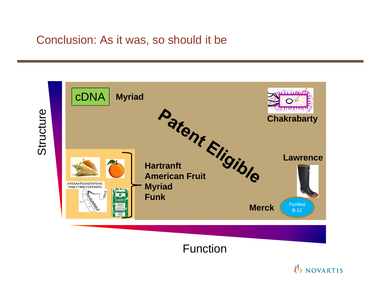#### Conclusion: As it was, so should it be

Structure Structure



Function